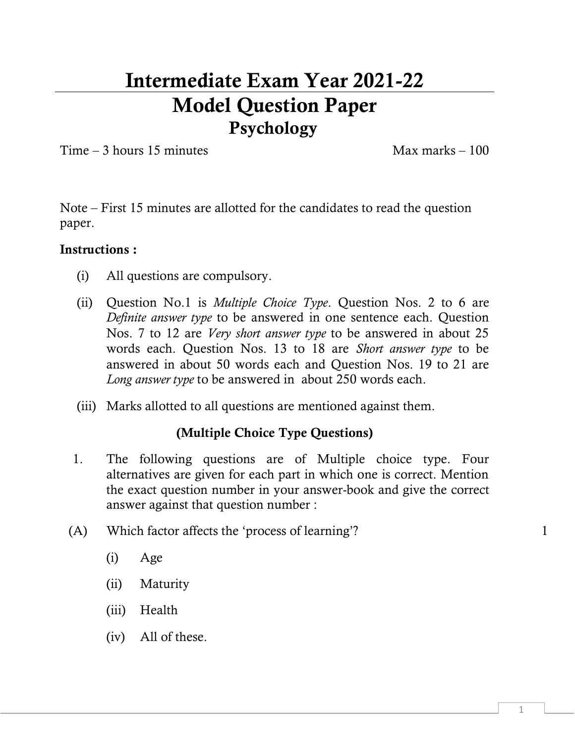# **Intermediate Exam Year 2021-22 Model Question Paper Psychology**

 $Time - 3 hours 15 minutes$  Max marks – 100

Note – First 15 minutes are allotted for the candidates to read the question paper.

#### **Instructions :**

- (i) All questions are compulsory.
- (ii) Question No.1 is *Multiple Choice Type*. Question Nos. 2 to 6 are *Definite answer type* to be answered in one sentence each. Question Nos. 7 to 12 are *Very short answer type* to be answered in about 25 words each. Question Nos. 13 to 18 are *Short answer type* to be answered in about 50 words each and Question Nos. 19 to 21 are *Long answer type* to be answered in about 250 words each.
- (iii) Marks allotted to all questions are mentioned against them.

### **(Multiple Choice Type Questions)**

- 1. The following questions are of Multiple choice type. Four alternatives are given for each part in which one is correct. Mention the exact question number in your answer-book and give the correct answer against that question number :
- $(A)$  Which factor affects the 'process of learning'? 1
	- (i) Age
	- (ii) Maturity
	- (iii) Health
	- (iv) All of these.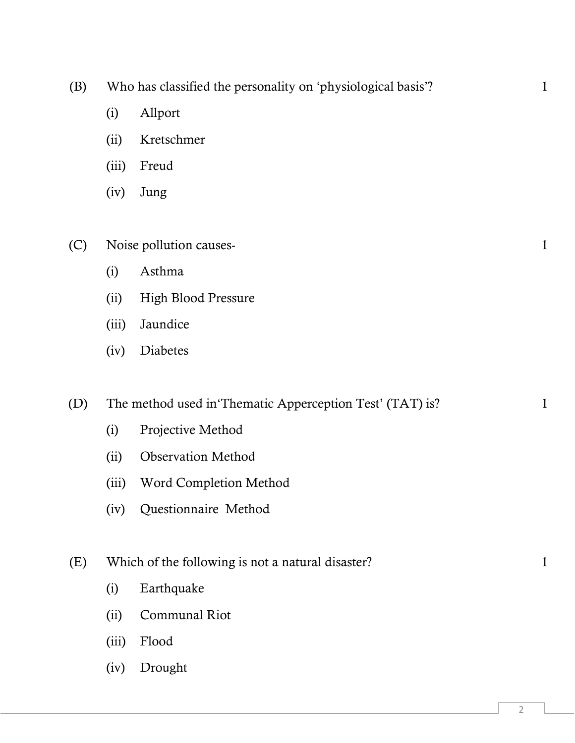| (B) | Who has classified the personality on 'physiological basis'? |  |  |  |
|-----|--------------------------------------------------------------|--|--|--|
|-----|--------------------------------------------------------------|--|--|--|

- (i) Allport
- (ii) Kretschmer
- (iii) Freud
- (iv) Jung

### (C) Noise pollution causes- 1

- (i) Asthma
- (ii) High Blood Pressure
- (iii) Jaundice
- (iv) Diabetes

(D) The method used in Thematic Apperception Test' (TAT) is? 1

- (i) Projective Method
- (ii) Observation Method
- (iii) Word Completion Method
- (iv) Questionnaire Method

#### (E) Which of the following is not a natural disaster? 1

- (i) Earthquake
- (ii) Communal Riot
- (iii) Flood
- (iv) Drought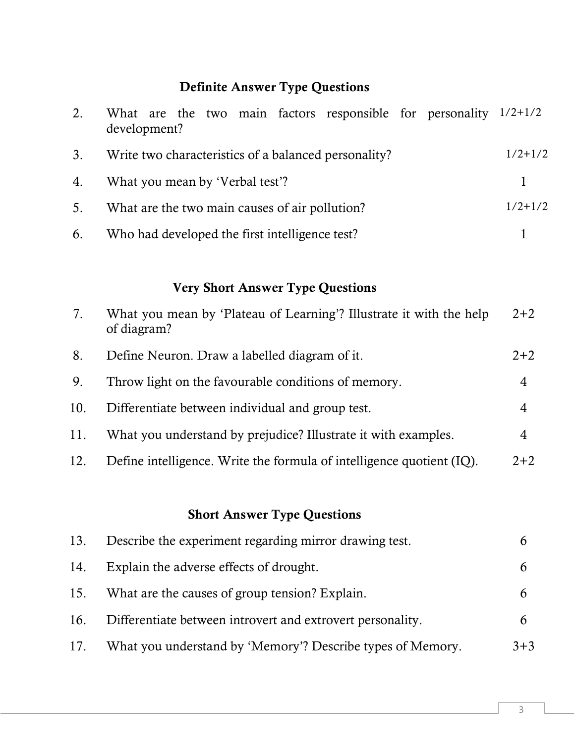# **Definite Answer Type Questions**

| 2. | What are the two main factors responsible for personality $1/2+1/2$<br>development? |           |
|----|-------------------------------------------------------------------------------------|-----------|
| 3. | Write two characteristics of a balanced personality?                                | $1/2+1/2$ |
| 4. | What you mean by 'Verbal test'?                                                     |           |
| 5. | What are the two main causes of air pollution?                                      | $1/2+1/2$ |
| 6. | Who had developed the first intelligence test?                                      |           |

# **Very Short Answer Type Questions**

| 7.  | What you mean by 'Plateau of Learning'? Illustrate it with the help<br>of diagram? | $2 + 2$ |
|-----|------------------------------------------------------------------------------------|---------|
| 8.  | Define Neuron. Draw a labelled diagram of it.                                      | $2 + 2$ |
| 9.  | Throw light on the favourable conditions of memory.                                | 4       |
| 10. | Differentiate between individual and group test.                                   | 4       |
| 11. | What you understand by prejudice? Illustrate it with examples.                     | 4       |
| 12. | Define intelligence. Write the formula of intelligence quotient (IQ).              | $2 + 2$ |

### **Short Answer Type Questions**

| 13. | Describe the experiment regarding mirror drawing test.     |         |
|-----|------------------------------------------------------------|---------|
| 14. | Explain the adverse effects of drought.                    |         |
| 15. | What are the causes of group tension? Explain.             |         |
| 16. | Differentiate between introvert and extrovert personality. |         |
| 17. | What you understand by 'Memory'? Describe types of Memory. | $3 + 3$ |